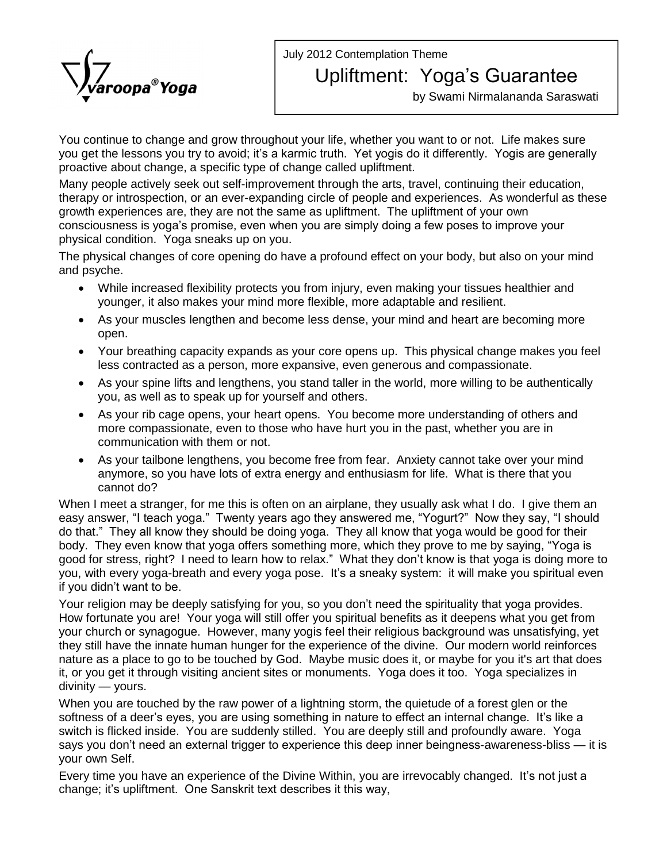July 2012 Contemplation Theme



## Upliftment: Yoga's Guarantee

by Swami Nirmalananda Saraswati

You continue to change and grow throughout your life, whether you want to or not. Life makes sure you get the lessons you try to avoid; it's a karmic truth. Yet yogis do it differently. Yogis are generally proactive about change, a specific type of change called upliftment.

Many people actively seek out self-improvement through the arts, travel, continuing their education, therapy or introspection, or an ever-expanding circle of people and experiences. As wonderful as these<br>growth experiences are, they are not the same as upliftment. The upliftment of your own<br>consciousness is yoga's promise growth experiences are, they are not the same as upliftment. The upliftment of your own physical condition. Yoga sneaks up on you.

The physical changes of core opening do have a profound effect on your body, but also on your mind and psyche.

- While increased flexibility protects you from injury, even making your tissues healthier and younger, it also makes your mind more flexible, more adaptable and resilient.
- As your muscles lengthen and become less dense, your mind and heart are becoming more open.
- Your breathing capacity expands as your core opens up. This physical change makes you feel less contracted as <sup>a</sup> person, more expansive, even generous and compassionate.
- As your spine lifts and lengthens, you stand taller in the world, more willing to be authentically you, as well as to speak up for yourself and others.
- As your rib cage opens, your heart opens. You become more understanding of others and more compassionate, even to those who have hurt you in the past, whether you are in communication with them or not.
- As your tailbone lengthens, you become free from fear. Anxiety cannot take over your mind anymore, so you have lots of extra energy and enthusiasm for life. What is there that you cannot do?

When I meet a stranger, for me this is often on an airplane, they usually ask what I do. I give them an cannot do?<br>When I meet a stranger, for me this is often on an airplane, they usually ask what I do. I give them an<br>easy answer, "I teach yoga." Twenty years ago they answered me, "Yogurt?" Now they say, "I should When I meet a stranger, for me this is often on an airplane, they usually ask what I do. I give them an<br>easy answer, "I teach yoga." Twenty years ago they answered me, "Yogurt?" Now they say, "I should<br>do that." They all k easy answer, "I teach yoga." Twenty years ago they answered me, "Yogurt?" Now they say, "I should do that." They all know they should be doing yoga. They all know thether body. They even know that yoga offers something mor do that." They all know they should be doing yoga. They all know that yoga would be good for their<br>body. They even know that yoga offers something more, which they prove to me by saying, "Yoga is<br>good for stress, right? I body. They even know that yoga offers something more, which they prove to me by saying, "Yoga is<br>good for stress, right? I need to learn how to relax." What they don't know is that yoga is doing more to<br>you, with every yog Food for stress, right? I need<br>good for stress, right? I need<br>if you didn't want to be. you, with every yoga-breath and every yoga pose. It's a sneaky system: it will make you spiritual even<br>if you didn't want to be.<br>Your religion may be deeply satisfying for you, so you don't need the spirituality that yoga

How fortunate you are! Your yoga will still offer you spiritual benefits as it deepens what you get from your church or synagogue. However, many yogis feel their religious background was unsatisfying, yet they still have the innate human hunger for the experience of the divine. Our modern world reinforces nature as a place to go to be touched by God. Maybe music does it, or maybe for you it's art that does it, or you get it through visiting ancient sites or monuments. Yoga does it too. Yoga specializes in divinity — yours. it, or you get it through visiting ancient sites or monuments. Yoga does it too. Yoga specializes in

When you are touched by the raw power of a lightning storm, the quietude of a forest glen or the divinity — yours.<br>When you are touched by the raw power of a lightning storm, the quietude of a forest glen or the<br>softness of a deer's eyes, you are using something in nature to effect an internal change. It's like a switch is flicked inside. You are suddenly stilled. You are deeply still and profoundly aware. Yoga saftness of a deer's eyes, you are using something in nature to effect an internal change. It's like a<br>switch is flicked inside. You are suddenly stilled. You are deeply still and profoundly aware. Yoga<br>says you don't need your own Self. says you don't need an external trigger to experience this deep inner beingness-awareness-bliss — it is your own Self.<br>Your own Self.<br>Every time you have an experience of the Divine Within, you are irrevocably changed. It'

change; it's upliftment. One Sanskrit text describes it this way,